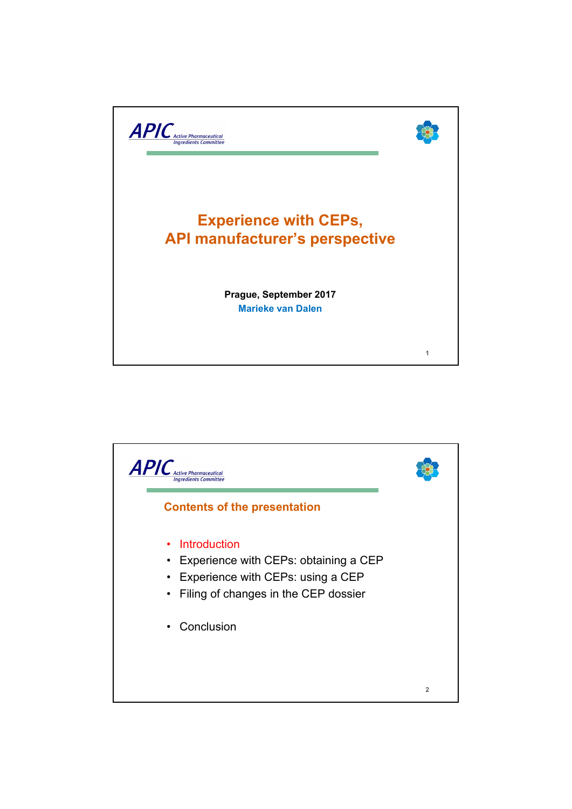

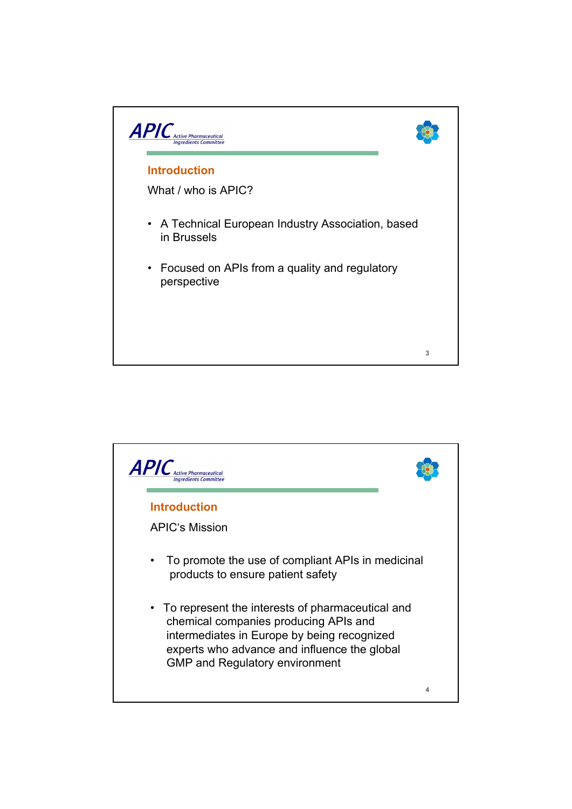

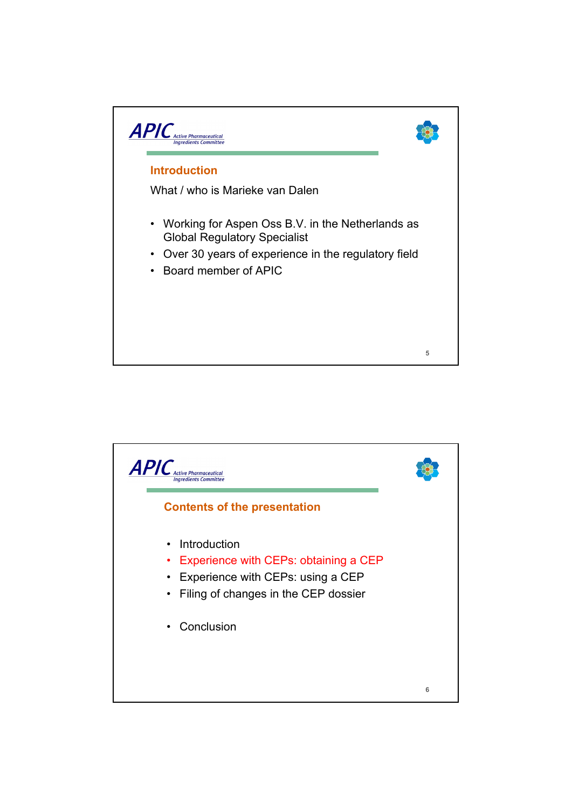

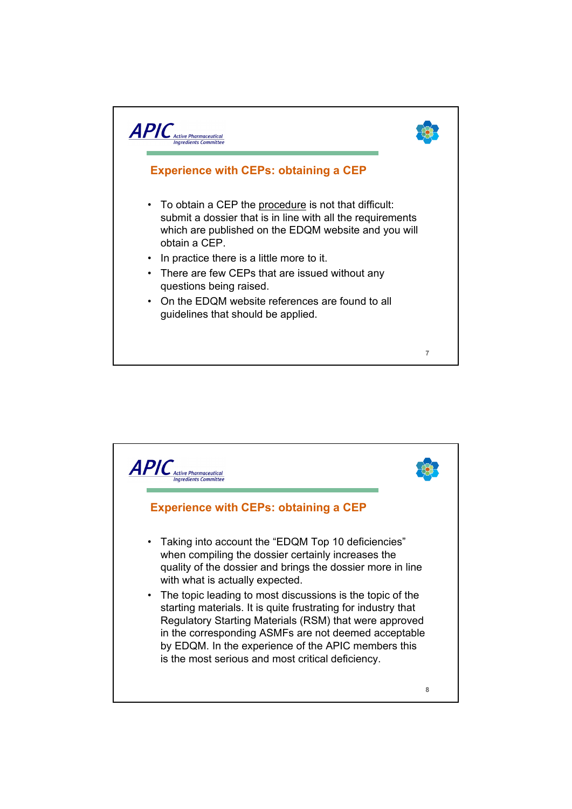

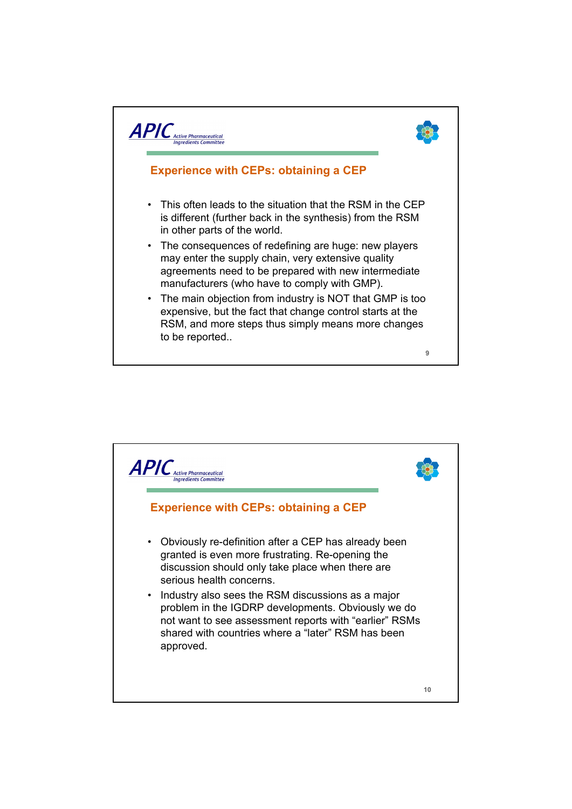

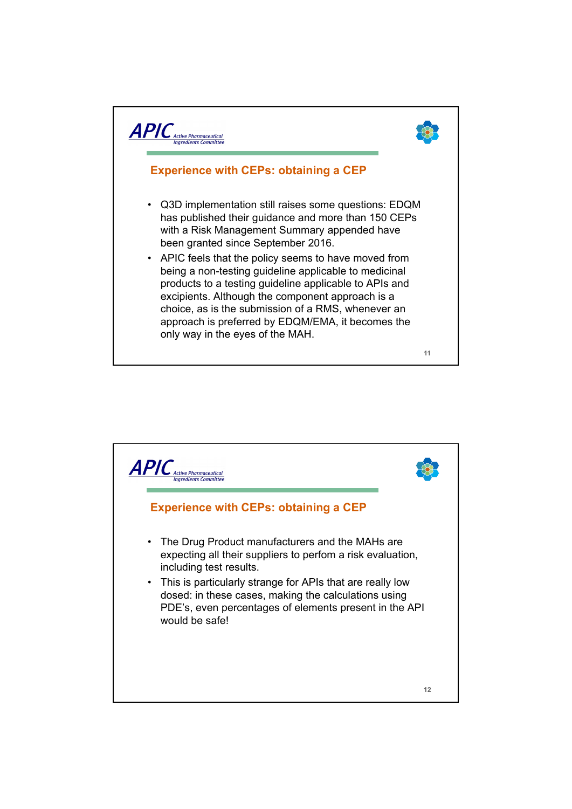

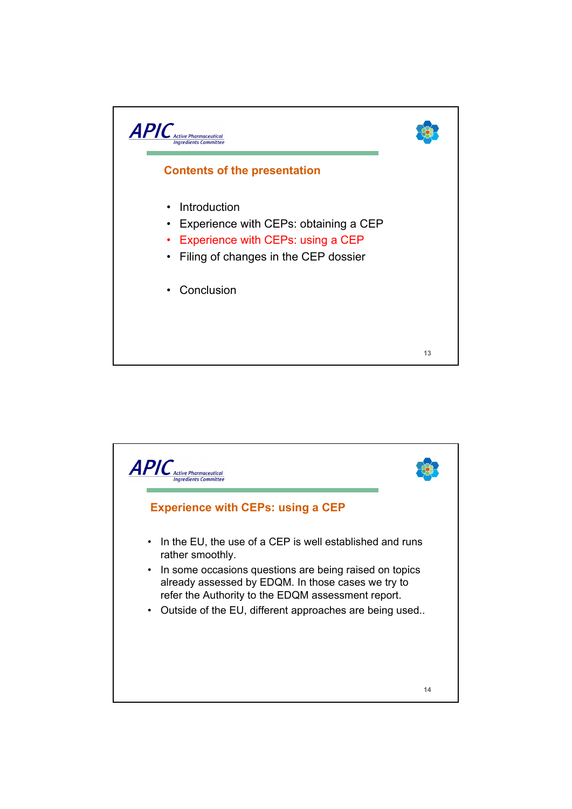

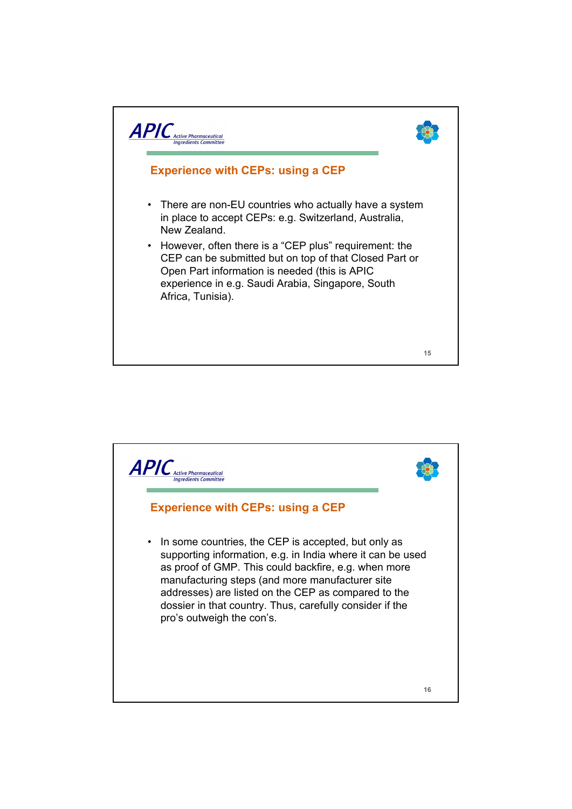

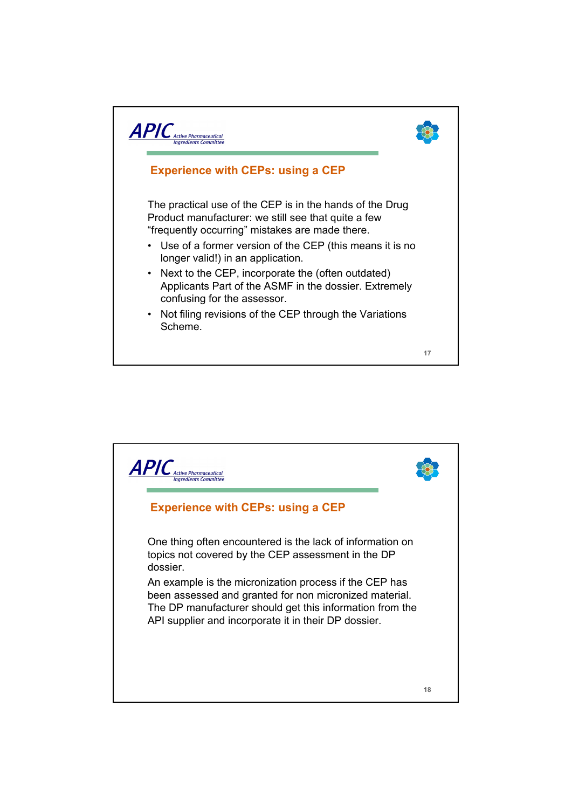

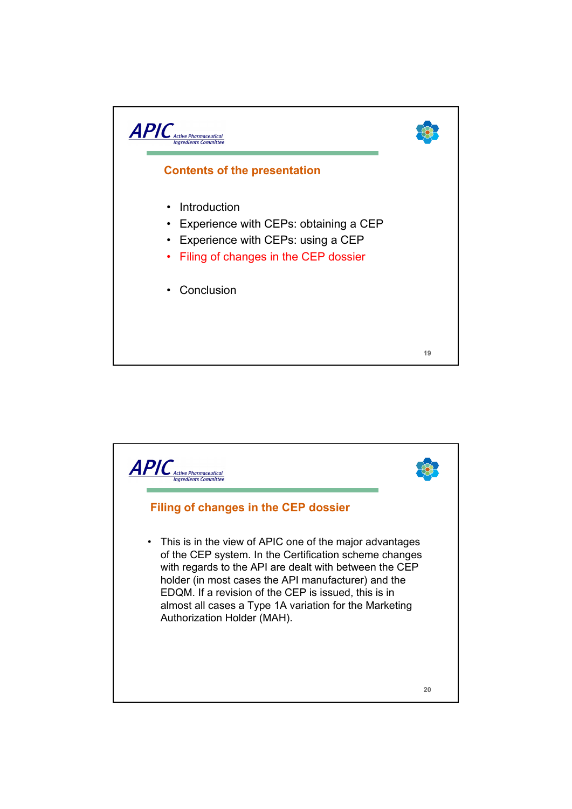

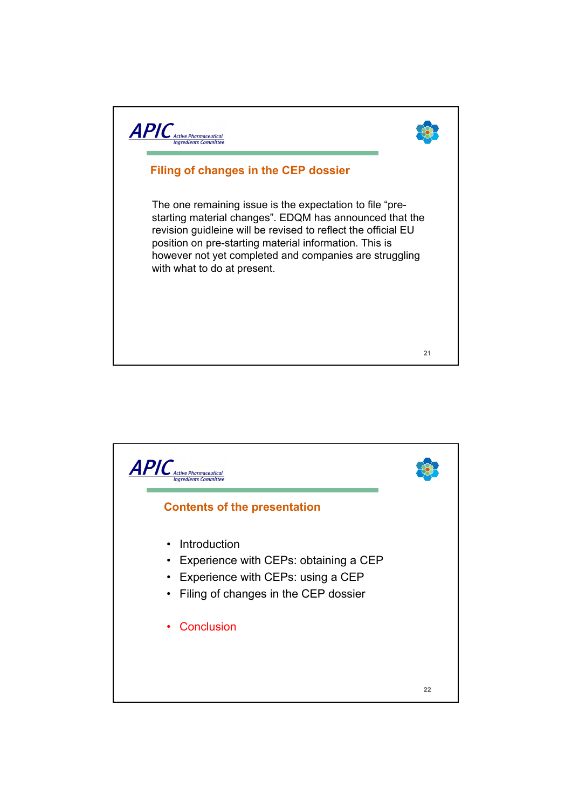